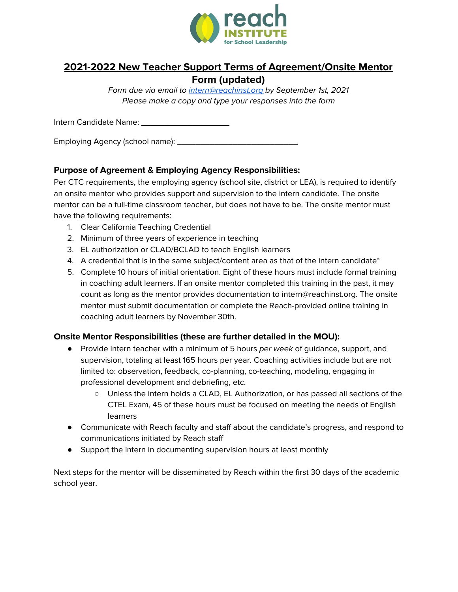

# **2021-2022 New Teacher Support Terms of Agreement/Onsite Mentor Form (updated)**

Form due via email to [intern@reachinst.org](mailto:intern@reachinst.org) by September 1st, 2021 Please make a copy and type your responses into the form

Intern Candidate Name: \_\_\_\_\_\_\_\_\_\_\_\_\_\_\_\_\_\_\_

Employing Agency (school name): \_\_\_\_\_\_\_\_\_\_\_\_\_\_\_\_\_\_\_\_\_\_\_\_\_\_

## **Purpose of Agreement & Employing Agency Responsibilities:**

Per CTC requirements, the employing agency (school site, district or LEA), is required to identify an onsite mentor who provides support and supervision to the intern candidate. The onsite mentor can be a full-time classroom teacher, but does not have to be. The onsite mentor must have the following requirements:

- 1. Clear California Teaching Credential
- 2. Minimum of three years of experience in teaching
- 3. EL authorization or CLAD/BCLAD to teach English learners
- 4. A credential that is in the same subject/content area as that of the intern candidate\*
- 5. Complete 10 hours of initial orientation. Eight of these hours must include formal training in coaching adult learners. If an onsite mentor completed this training in the past, it may count as long as the mentor provides documentation to intern@reachinst.org. The onsite mentor must submit documentation or complete the Reach-provided online training in coaching adult learners by November 30th.

#### **Onsite Mentor Responsibilities (these are further detailed in the MOU):**

- Provide intern teacher with a minimum of 5 hours per week of quidance, support, and supervision, totaling at least 165 hours per year. Coaching activities include but are not limited to: observation, feedback, co-planning, co-teaching, modeling, engaging in professional development and debriefing, etc.
	- Unless the intern holds a CLAD, EL Authorization, or has passed all sections of the CTEL Exam, 45 of these hours must be focused on meeting the needs of English learners
- Communicate with Reach faculty and staff about the candidate's progress, and respond to communications initiated by Reach staff
- Support the intern in documenting supervision hours at least monthly

Next steps for the mentor will be disseminated by Reach within the first 30 days of the academic school year.